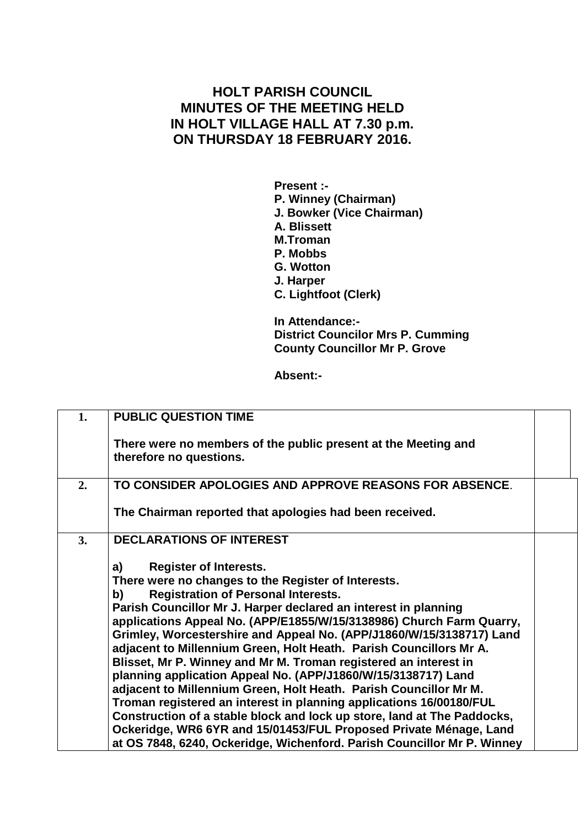## **HOLT PARISH COUNCIL MINUTES OF THE MEETING HELD IN HOLT VILLAGE HALL AT 7.30 p.m. ON THURSDAY 18 FEBRUARY 2016.**

**Present :- P. Winney (Chairman) J. Bowker (Vice Chairman) A. Blissett M.Troman P. Mobbs G. Wotton J. Harper C. Lightfoot (Clerk)**

**In Attendance:- District Councilor Mrs P. Cumming County Councillor Mr P. Grove**

**Absent:-**

| 1. | <b>PUBLIC QUESTION TIME</b>                                                                                                                                                                                                                                                                                                                                                                                                                                                                                                                                                                                                                                                                                                                                                                                                                                                                                                                         |  |
|----|-----------------------------------------------------------------------------------------------------------------------------------------------------------------------------------------------------------------------------------------------------------------------------------------------------------------------------------------------------------------------------------------------------------------------------------------------------------------------------------------------------------------------------------------------------------------------------------------------------------------------------------------------------------------------------------------------------------------------------------------------------------------------------------------------------------------------------------------------------------------------------------------------------------------------------------------------------|--|
|    | There were no members of the public present at the Meeting and<br>therefore no questions.                                                                                                                                                                                                                                                                                                                                                                                                                                                                                                                                                                                                                                                                                                                                                                                                                                                           |  |
| 2. | TO CONSIDER APOLOGIES AND APPROVE REASONS FOR ABSENCE.                                                                                                                                                                                                                                                                                                                                                                                                                                                                                                                                                                                                                                                                                                                                                                                                                                                                                              |  |
|    | The Chairman reported that apologies had been received.                                                                                                                                                                                                                                                                                                                                                                                                                                                                                                                                                                                                                                                                                                                                                                                                                                                                                             |  |
| 3. | <b>DECLARATIONS OF INTEREST</b>                                                                                                                                                                                                                                                                                                                                                                                                                                                                                                                                                                                                                                                                                                                                                                                                                                                                                                                     |  |
|    | <b>Register of Interests.</b><br>a)<br>There were no changes to the Register of Interests.<br><b>Registration of Personal Interests.</b><br>b)<br>Parish Councillor Mr J. Harper declared an interest in planning<br>applications Appeal No. (APP/E1855/W/15/3138986) Church Farm Quarry,<br>Grimley, Worcestershire and Appeal No. (APP/J1860/W/15/3138717) Land<br>adjacent to Millennium Green, Holt Heath. Parish Councillors Mr A.<br>Blisset, Mr P. Winney and Mr M. Troman registered an interest in<br>planning application Appeal No. (APP/J1860/W/15/3138717) Land<br>adjacent to Millennium Green, Holt Heath. Parish Councillor Mr M.<br>Troman registered an interest in planning applications 16/00180/FUL<br>Construction of a stable block and lock up store, land at The Paddocks,<br>Ockeridge, WR6 6YR and 15/01453/FUL Proposed Private Ménage, Land<br>at OS 7848, 6240, Ockeridge, Wichenford. Parish Councillor Mr P. Winney |  |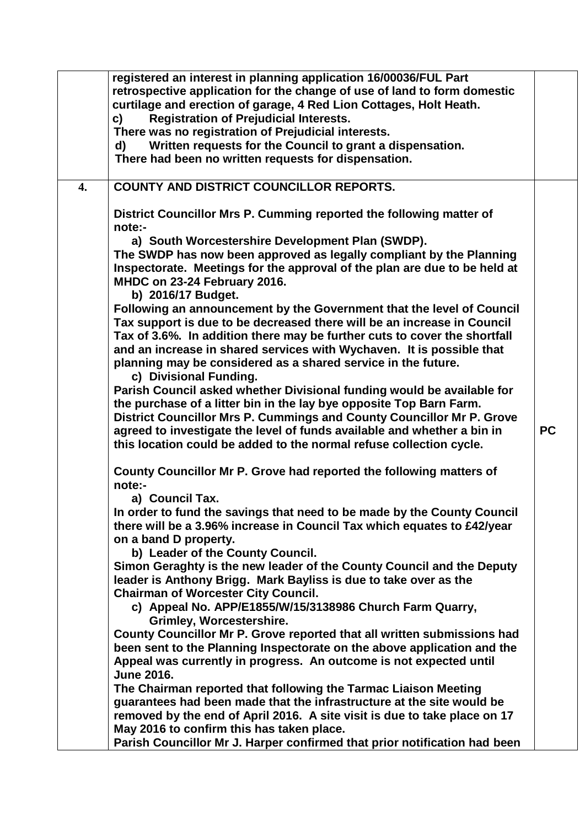|    | registered an interest in planning application 16/00036/FUL Part<br>retrospective application for the change of use of land to form domestic<br>curtilage and erection of garage, 4 Red Lion Cottages, Holt Heath.<br><b>Registration of Prejudicial Interests.</b><br>c)<br>There was no registration of Prejudicial interests.<br>Written requests for the Council to grant a dispensation.<br>d)<br>There had been no written requests for dispensation. |           |
|----|-------------------------------------------------------------------------------------------------------------------------------------------------------------------------------------------------------------------------------------------------------------------------------------------------------------------------------------------------------------------------------------------------------------------------------------------------------------|-----------|
| 4. | <b>COUNTY AND DISTRICT COUNCILLOR REPORTS.</b>                                                                                                                                                                                                                                                                                                                                                                                                              |           |
|    | District Councillor Mrs P. Cumming reported the following matter of<br>note:-                                                                                                                                                                                                                                                                                                                                                                               |           |
|    | a) South Worcestershire Development Plan (SWDP).<br>The SWDP has now been approved as legally compliant by the Planning<br>Inspectorate. Meetings for the approval of the plan are due to be held at<br>MHDC on 23-24 February 2016.<br>b) 2016/17 Budget.                                                                                                                                                                                                  |           |
|    | Following an announcement by the Government that the level of Council<br>Tax support is due to be decreased there will be an increase in Council<br>Tax of 3.6%. In addition there may be further cuts to cover the shortfall<br>and an increase in shared services with Wychaven. It is possible that<br>planning may be considered as a shared service in the future.<br>c) Divisional Funding.                                                           |           |
|    | Parish Council asked whether Divisional funding would be available for<br>the purchase of a litter bin in the lay bye opposite Top Barn Farm.<br>District Councillor Mrs P. Cummings and County Councillor Mr P. Grove                                                                                                                                                                                                                                      |           |
|    | agreed to investigate the level of funds available and whether a bin in<br>this location could be added to the normal refuse collection cycle.                                                                                                                                                                                                                                                                                                              | <b>PC</b> |
|    | County Councillor Mr P. Grove had reported the following matters of<br>note:-                                                                                                                                                                                                                                                                                                                                                                               |           |
|    | a) Council Tax.                                                                                                                                                                                                                                                                                                                                                                                                                                             |           |
|    | In order to fund the savings that need to be made by the County Council<br>there will be a 3.96% increase in Council Tax which equates to £42/year<br>on a band D property.                                                                                                                                                                                                                                                                                 |           |
|    | b) Leader of the County Council.                                                                                                                                                                                                                                                                                                                                                                                                                            |           |
|    | Simon Geraghty is the new leader of the County Council and the Deputy<br>leader is Anthony Brigg. Mark Bayliss is due to take over as the<br><b>Chairman of Worcester City Council.</b>                                                                                                                                                                                                                                                                     |           |
|    | c) Appeal No. APP/E1855/W/15/3138986 Church Farm Quarry,<br><b>Grimley, Worcestershire.</b>                                                                                                                                                                                                                                                                                                                                                                 |           |
|    | County Councillor Mr P. Grove reported that all written submissions had<br>been sent to the Planning Inspectorate on the above application and the                                                                                                                                                                                                                                                                                                          |           |
|    | Appeal was currently in progress. An outcome is not expected until<br><b>June 2016.</b>                                                                                                                                                                                                                                                                                                                                                                     |           |
|    | The Chairman reported that following the Tarmac Liaison Meeting                                                                                                                                                                                                                                                                                                                                                                                             |           |
|    | guarantees had been made that the infrastructure at the site would be                                                                                                                                                                                                                                                                                                                                                                                       |           |
|    | removed by the end of April 2016. A site visit is due to take place on 17<br>May 2016 to confirm this has taken place.                                                                                                                                                                                                                                                                                                                                      |           |
|    | Parish Councillor Mr J. Harper confirmed that prior notification had been                                                                                                                                                                                                                                                                                                                                                                                   |           |
|    |                                                                                                                                                                                                                                                                                                                                                                                                                                                             |           |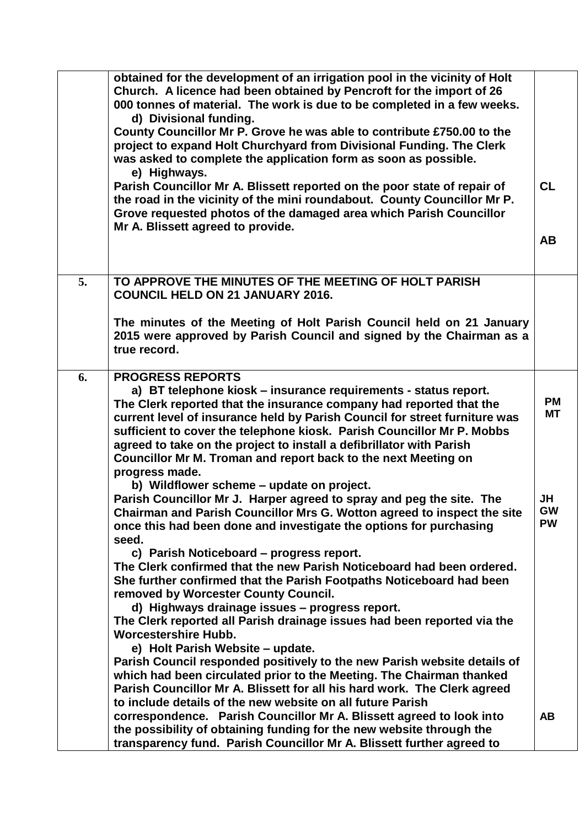|    | obtained for the development of an irrigation pool in the vicinity of Holt<br>Church. A licence had been obtained by Pencroft for the import of 26<br>000 tonnes of material. The work is due to be completed in a few weeks.<br>d) Divisional funding.<br>County Councillor Mr P. Grove he was able to contribute £750.00 to the<br>project to expand Holt Churchyard from Divisional Funding. The Clerk<br>was asked to complete the application form as soon as possible.<br>e) Highways. |                        |
|----|----------------------------------------------------------------------------------------------------------------------------------------------------------------------------------------------------------------------------------------------------------------------------------------------------------------------------------------------------------------------------------------------------------------------------------------------------------------------------------------------|------------------------|
|    | Parish Councillor Mr A. Blissett reported on the poor state of repair of<br>the road in the vicinity of the mini roundabout. County Councillor Mr P.<br>Grove requested photos of the damaged area which Parish Councillor<br>Mr A. Blissett agreed to provide.                                                                                                                                                                                                                              | <b>CL</b>              |
|    |                                                                                                                                                                                                                                                                                                                                                                                                                                                                                              | <b>AB</b>              |
| 5. | TO APPROVE THE MINUTES OF THE MEETING OF HOLT PARISH<br><b>COUNCIL HELD ON 21 JANUARY 2016.</b>                                                                                                                                                                                                                                                                                                                                                                                              |                        |
|    | The minutes of the Meeting of Holt Parish Council held on 21 January<br>2015 were approved by Parish Council and signed by the Chairman as a<br>true record.                                                                                                                                                                                                                                                                                                                                 |                        |
| 6. | <b>PROGRESS REPORTS</b><br>a) BT telephone kiosk – insurance requirements - status report.<br>The Clerk reported that the insurance company had reported that the<br>current level of insurance held by Parish Council for street furniture was<br>sufficient to cover the telephone kiosk. Parish Councillor Mr P. Mobbs<br>agreed to take on the project to install a defibrillator with Parish<br>Councillor Mr M. Troman and report back to the next Meeting on<br>progress made.        | <b>PM</b><br><b>MT</b> |
|    | b) Wildflower scheme - update on project.<br>Parish Councillor Mr J. Harper agreed to spray and peg the site. The<br>Chairman and Parish Councillor Mrs G. Wotton agreed to inspect the site<br>once this had been done and investigate the options for purchasing<br>seed.<br>c) Parish Noticeboard - progress report.                                                                                                                                                                      | JH<br>GW<br><b>PW</b>  |
|    | The Clerk confirmed that the new Parish Noticeboard had been ordered.<br>She further confirmed that the Parish Footpaths Noticeboard had been<br>removed by Worcester County Council.<br>d) Highways drainage issues - progress report.                                                                                                                                                                                                                                                      |                        |
|    | The Clerk reported all Parish drainage issues had been reported via the<br><b>Worcestershire Hubb.</b><br>e) Holt Parish Website - update.<br>Parish Council responded positively to the new Parish website details of                                                                                                                                                                                                                                                                       |                        |
|    | which had been circulated prior to the Meeting. The Chairman thanked<br>Parish Councillor Mr A. Blissett for all his hard work. The Clerk agreed<br>to include details of the new website on all future Parish                                                                                                                                                                                                                                                                               |                        |
|    | correspondence. Parish Councillor Mr A. Blissett agreed to look into<br>the possibility of obtaining funding for the new website through the<br>transparency fund. Parish Councillor Mr A. Blissett further agreed to                                                                                                                                                                                                                                                                        | <b>AB</b>              |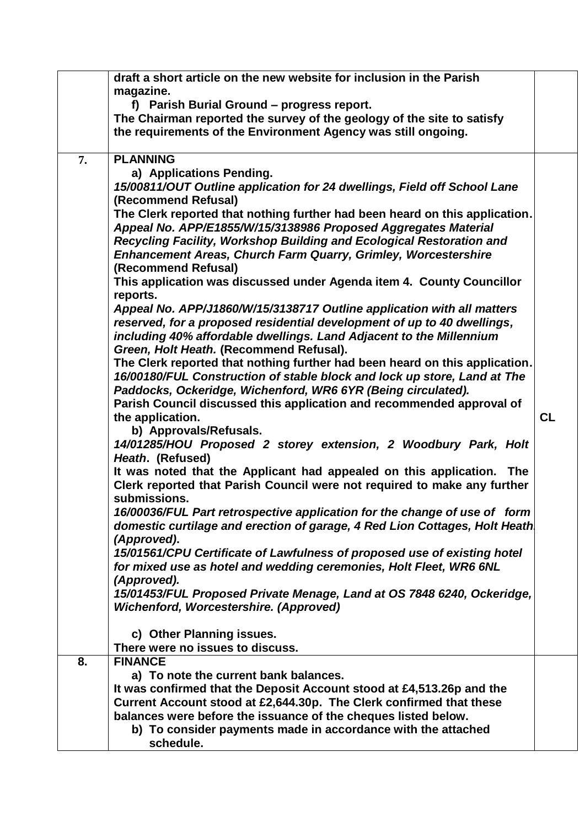|    | draft a short article on the new website for inclusion in the Parish<br>magazine.<br>f) Parish Burial Ground - progress report.<br>The Chairman reported the survey of the geology of the site to satisfy<br>the requirements of the Environment Agency was still ongoing.                                                                                                                                                                                                                                                                                                                                                                                                                                                                                                                                                                                                                                                                                                                                                                                                                                                                                                                                                                                                                                                                                                                                                                                                                                                                                                                                                                                                                                                                                                                                                                                                                                                                                                               |           |
|----|------------------------------------------------------------------------------------------------------------------------------------------------------------------------------------------------------------------------------------------------------------------------------------------------------------------------------------------------------------------------------------------------------------------------------------------------------------------------------------------------------------------------------------------------------------------------------------------------------------------------------------------------------------------------------------------------------------------------------------------------------------------------------------------------------------------------------------------------------------------------------------------------------------------------------------------------------------------------------------------------------------------------------------------------------------------------------------------------------------------------------------------------------------------------------------------------------------------------------------------------------------------------------------------------------------------------------------------------------------------------------------------------------------------------------------------------------------------------------------------------------------------------------------------------------------------------------------------------------------------------------------------------------------------------------------------------------------------------------------------------------------------------------------------------------------------------------------------------------------------------------------------------------------------------------------------------------------------------------------------|-----------|
| 7. | <b>PLANNING</b><br>a) Applications Pending.<br>15/00811/OUT Outline application for 24 dwellings, Field off School Lane<br>(Recommend Refusal)<br>The Clerk reported that nothing further had been heard on this application.<br>Appeal No. APP/E1855/W/15/3138986 Proposed Aggregates Material<br>Recycling Facility, Workshop Building and Ecological Restoration and<br><b>Enhancement Areas, Church Farm Quarry, Grimley, Worcestershire</b><br>(Recommend Refusal)<br>This application was discussed under Agenda item 4. County Councillor<br>reports.<br>Appeal No. APP/J1860/W/15/3138717 Outline application with all matters<br>reserved, for a proposed residential development of up to 40 dwellings,<br>including 40% affordable dwellings. Land Adjacent to the Millennium<br>Green, Holt Heath. (Recommend Refusal).<br>The Clerk reported that nothing further had been heard on this application.<br>16/00180/FUL Construction of stable block and lock up store, Land at The<br>Paddocks, Ockeridge, Wichenford, WR6 6YR (Being circulated).<br>Parish Council discussed this application and recommended approval of<br>the application.<br>b) Approvals/Refusals.<br>14/01285/HOU Proposed 2 storey extension, 2 Woodbury Park, Holt<br>Heath. (Refused)<br>It was noted that the Applicant had appealed on this application. The<br>Clerk reported that Parish Council were not required to make any further<br>submissions.<br>16/00036/FUL Part retrospective application for the change of use of form<br>domestic curtilage and erection of garage, 4 Red Lion Cottages, Holt Heath<br>(Approved).<br>15/01561/CPU Certificate of Lawfulness of proposed use of existing hotel<br>for mixed use as hotel and wedding ceremonies, Holt Fleet, WR6 6NL<br>(Approved).<br>15/01453/FUL Proposed Private Menage, Land at OS 7848 6240, Ockeridge,<br><b>Wichenford, Worcestershire. (Approved)</b><br>c) Other Planning issues.<br>There were no issues to discuss. | <b>CL</b> |
| 8. | <b>FINANCE</b><br>a) To note the current bank balances.<br>It was confirmed that the Deposit Account stood at £4,513.26p and the<br>Current Account stood at £2,644.30p. The Clerk confirmed that these<br>balances were before the issuance of the cheques listed below.<br>b) To consider payments made in accordance with the attached<br>schedule.                                                                                                                                                                                                                                                                                                                                                                                                                                                                                                                                                                                                                                                                                                                                                                                                                                                                                                                                                                                                                                                                                                                                                                                                                                                                                                                                                                                                                                                                                                                                                                                                                                   |           |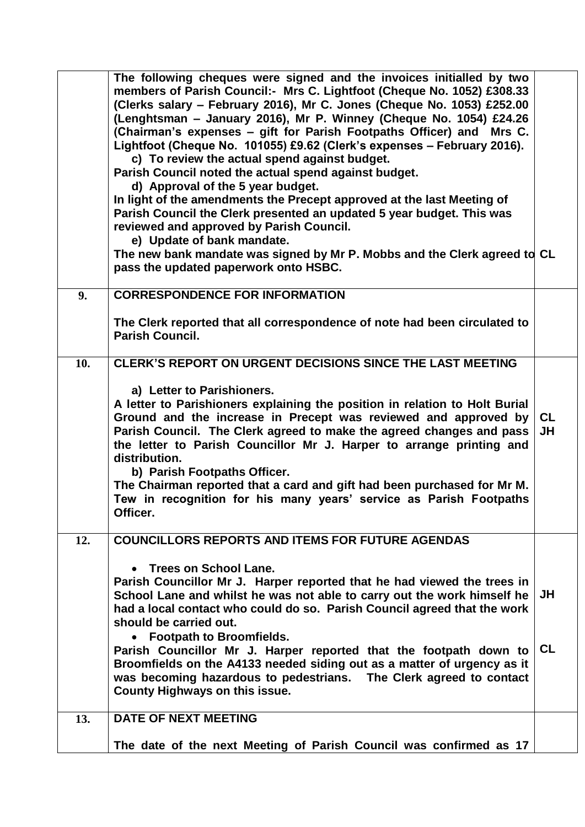|     | The following cheques were signed and the invoices initialled by two<br>members of Parish Council:- Mrs C. Lightfoot (Cheque No. 1052) £308.33<br>(Clerks salary - February 2016), Mr C. Jones (Cheque No. 1053) £252.00<br>(Lenghtsman - January 2016), Mr P. Winney (Cheque No. 1054) £24.26<br>(Chairman's expenses – gift for Parish Footpaths Officer) and Mrs C.<br>Lightfoot (Cheque No. 101055) £9.62 (Clerk's expenses - February 2016).<br>c) To review the actual spend against budget.<br>Parish Council noted the actual spend against budget.<br>d) Approval of the 5 year budget.<br>In light of the amendments the Precept approved at the last Meeting of<br>Parish Council the Clerk presented an updated 5 year budget. This was<br>reviewed and approved by Parish Council.<br>e) Update of bank mandate.<br>The new bank mandate was signed by Mr P. Mobbs and the Clerk agreed to CL<br>pass the updated paperwork onto HSBC. |                 |
|-----|-----------------------------------------------------------------------------------------------------------------------------------------------------------------------------------------------------------------------------------------------------------------------------------------------------------------------------------------------------------------------------------------------------------------------------------------------------------------------------------------------------------------------------------------------------------------------------------------------------------------------------------------------------------------------------------------------------------------------------------------------------------------------------------------------------------------------------------------------------------------------------------------------------------------------------------------------------|-----------------|
| 9.  | <b>CORRESPONDENCE FOR INFORMATION</b>                                                                                                                                                                                                                                                                                                                                                                                                                                                                                                                                                                                                                                                                                                                                                                                                                                                                                                               |                 |
|     | The Clerk reported that all correspondence of note had been circulated to<br><b>Parish Council.</b>                                                                                                                                                                                                                                                                                                                                                                                                                                                                                                                                                                                                                                                                                                                                                                                                                                                 |                 |
| 10. | <b>CLERK'S REPORT ON URGENT DECISIONS SINCE THE LAST MEETING</b><br>a) Letter to Parishioners.<br>A letter to Parishioners explaining the position in relation to Holt Burial<br>Ground and the increase in Precept was reviewed and approved by<br>Parish Council. The Clerk agreed to make the agreed changes and pass<br>the letter to Parish Councillor Mr J. Harper to arrange printing and<br>distribution.<br>b) Parish Footpaths Officer.<br>The Chairman reported that a card and gift had been purchased for Mr M.<br>Tew in recognition for his many years' service as Parish Footpaths<br>Officer.                                                                                                                                                                                                                                                                                                                                      | <b>CL</b><br>JH |
| 12. | <b>COUNCILLORS REPORTS AND ITEMS FOR FUTURE AGENDAS</b><br>• Trees on School Lane.<br>Parish Councillor Mr J. Harper reported that he had viewed the trees in<br>School Lane and whilst he was not able to carry out the work himself he<br>had a local contact who could do so. Parish Council agreed that the work<br>should be carried out.<br><b>Footpath to Broomfields.</b><br>Parish Councillor Mr J. Harper reported that the footpath down to<br>Broomfields on the A4133 needed siding out as a matter of urgency as it<br>was becoming hazardous to pedestrians. The Clerk agreed to contact<br>County Highways on this issue.                                                                                                                                                                                                                                                                                                           | JH<br><b>CL</b> |
| 13. | <b>DATE OF NEXT MEETING</b><br>The date of the next Meeting of Parish Council was confirmed as 17                                                                                                                                                                                                                                                                                                                                                                                                                                                                                                                                                                                                                                                                                                                                                                                                                                                   |                 |
|     |                                                                                                                                                                                                                                                                                                                                                                                                                                                                                                                                                                                                                                                                                                                                                                                                                                                                                                                                                     |                 |